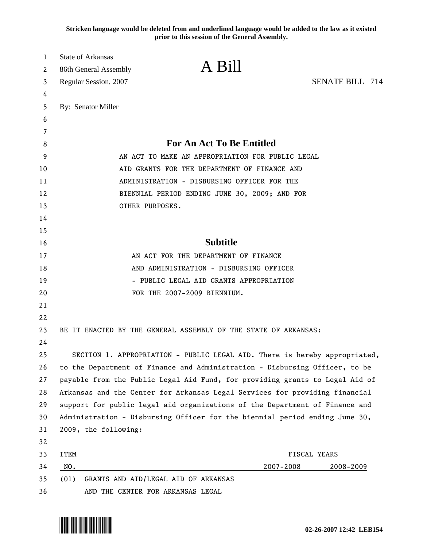**Stricken language would be deleted from and underlined language would be added to the law as it existed prior to this session of the General Assembly.**

| 1                     | State of Arkansas                                                            |                                                                             |                        |  |
|-----------------------|------------------------------------------------------------------------------|-----------------------------------------------------------------------------|------------------------|--|
| $\mathbf{2}^{\prime}$ | 86th General Assembly                                                        | A Bill                                                                      |                        |  |
| 3                     | Regular Session, 2007                                                        |                                                                             | <b>SENATE BILL 714</b> |  |
| 4                     |                                                                              |                                                                             |                        |  |
| 5                     | By: Senator Miller                                                           |                                                                             |                        |  |
| 6                     |                                                                              |                                                                             |                        |  |
| 7                     |                                                                              |                                                                             |                        |  |
| 8                     | <b>For An Act To Be Entitled</b>                                             |                                                                             |                        |  |
| 9                     |                                                                              | AN ACT TO MAKE AN APPROPRIATION FOR PUBLIC LEGAL                            |                        |  |
| 10                    | AID GRANTS FOR THE DEPARTMENT OF FINANCE AND                                 |                                                                             |                        |  |
| 11                    | ADMINISTRATION - DISBURSING OFFICER FOR THE                                  |                                                                             |                        |  |
| 12                    |                                                                              | BIENNIAL PERIOD ENDING JUNE 30, 2009; AND FOR                               |                        |  |
| 13                    |                                                                              | OTHER PURPOSES.                                                             |                        |  |
| 14                    |                                                                              |                                                                             |                        |  |
| 15                    |                                                                              |                                                                             |                        |  |
| 16                    | <b>Subtitle</b>                                                              |                                                                             |                        |  |
| 17                    | AN ACT FOR THE DEPARTMENT OF FINANCE                                         |                                                                             |                        |  |
| 18                    | AND ADMINISTRATION - DISBURSING OFFICER                                      |                                                                             |                        |  |
| 19                    | - PUBLIC LEGAL AID GRANTS APPROPRIATION                                      |                                                                             |                        |  |
| 20                    |                                                                              | FOR THE 2007-2009 BIENNIUM.                                                 |                        |  |
| 21                    |                                                                              |                                                                             |                        |  |
| 22                    |                                                                              |                                                                             |                        |  |
| 23                    |                                                                              | BE IT ENACTED BY THE GENERAL ASSEMBLY OF THE STATE OF ARKANSAS:             |                        |  |
| 24                    |                                                                              |                                                                             |                        |  |
| 25                    | SECTION 1. APPROPRIATION - PUBLIC LEGAL AID. There is hereby appropriated,   |                                                                             |                        |  |
| 26                    | to the Department of Finance and Administration - Disbursing Officer, to be  |                                                                             |                        |  |
| 27                    | payable from the Public Legal Aid Fund, for providing grants to Legal Aid of |                                                                             |                        |  |
| 28                    | Arkansas and the Center for Arkansas Legal Services for providing financial  |                                                                             |                        |  |
| 29                    |                                                                              | support for public legal aid organizations of the Department of Finance and |                        |  |
| 30                    |                                                                              | Administration - Disbursing Officer for the biennial period ending June 30, |                        |  |
| 31                    | 2009, the following:                                                         |                                                                             |                        |  |
| 32                    |                                                                              |                                                                             |                        |  |
| 33                    | <b>ITEM</b>                                                                  |                                                                             | FISCAL YEARS           |  |
| 34                    | NO.                                                                          | 2007-2008                                                                   | 2008-2009              |  |
| 35                    | (01)                                                                         | GRANTS AND AID/LEGAL AID OF ARKANSAS                                        |                        |  |
| 36                    |                                                                              | AND THE CENTER FOR ARKANSAS LEGAL                                           |                        |  |